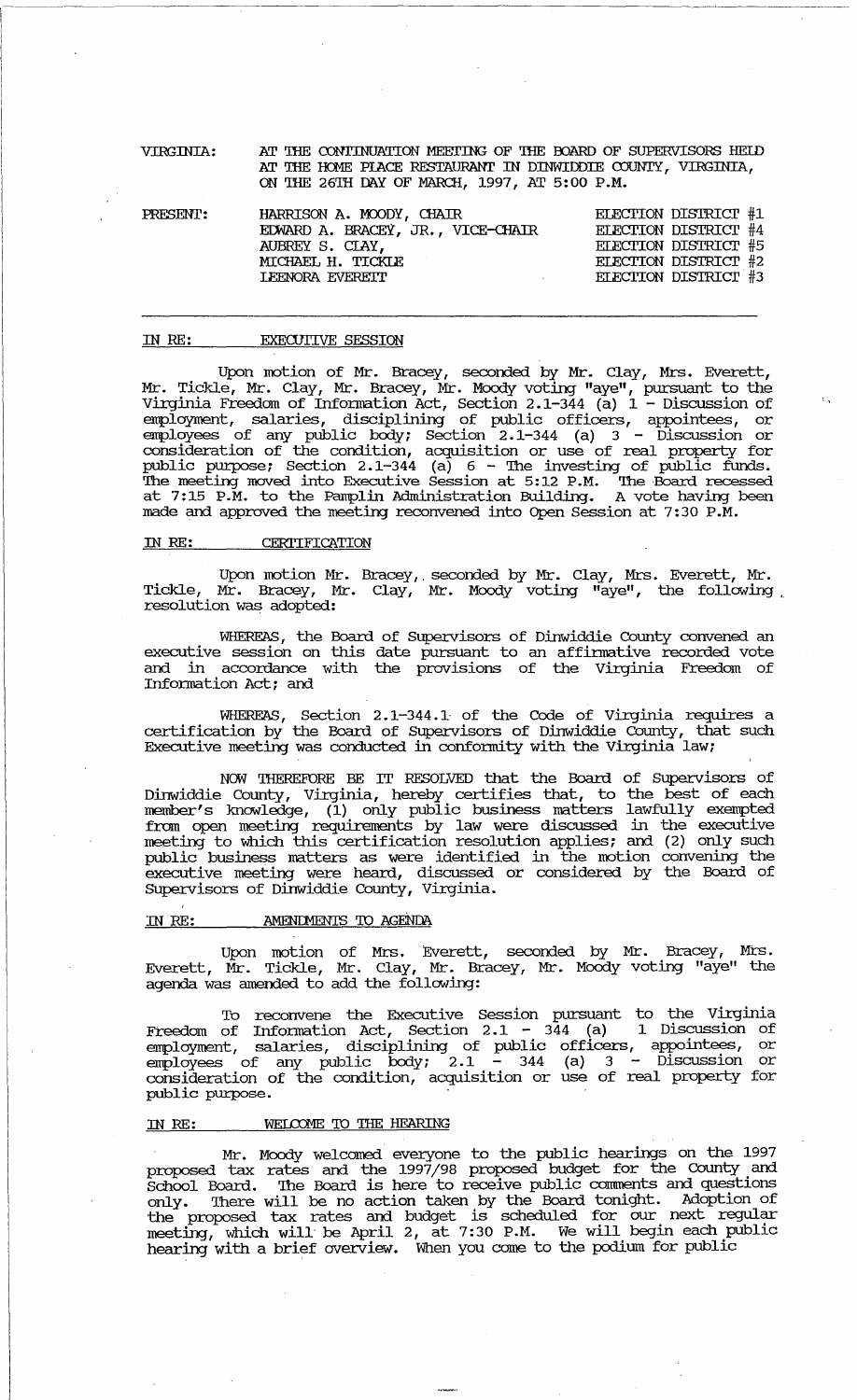VIRGINIA: AT THE CONTINUATION MEETING OF THE BOARD OF SUPERVISORS HELD AT THE HOME PIACE RESTAURANT IN DINWIDDIE COUNTY, VIRGINIA, ON THE 26TH DAY OF MARCH, 1997, AT 5:00 P.M.

| <b>PRESENT:</b> | HARRISON A. MOODY, CHAIR<br>EDWARD A. BRACEY, JR., VICE-CHAIR<br>AUBREY S. CLAY,<br>MICHAEL H. TICKLE<br><b>LEENORA EVERETT</b> | ELECTION DISTRICT #1<br>ELECTION DISTRICT #4<br>ELECTION DISTRICT #5<br>ELECTION DISTRICT #2<br>ELECTION DISTRICT #3 |  |
|-----------------|---------------------------------------------------------------------------------------------------------------------------------|----------------------------------------------------------------------------------------------------------------------|--|
|                 |                                                                                                                                 |                                                                                                                      |  |

#### IN RE: EXECUl'IVE SESSION

Upon motion of Mr. Bracey, seconded by Mr. Clay, Mrs. Everett, Mr. Tickle, Mr. Clay, Mr. Bracey, Mr. Moody voting "aye", pursuant to the Virginia Freedom of Information Act, Section 2.1-344 (a) 1 - Discussion of employment, salaries, disciplining of public officers, appointees, or employees of any public body; Section 2.1-344 (a) 3 - Discussion or consideration of the condition, acquisition or use of real property for public purpose; Section 2.1-344 (a) 6 - The investing of public funds. The meeting moved into Executive session at 5:12 P.M. The Board recessed at 7:15 P.M. to the Pamplin Administration Building. A vote having been made and approved the meeting reconvened into Open Session at 7:30 P.M.

#### IN RE: CERI'IFICATION

Upon motion Mr. Bracey, seconded by Mr. Clay, Mrs. Everett, Mr. Tickle, Mr. Bracey, Mr. Clay, Mr. Moody voting "aye", the following Tickle, Mr. Bracey, N<br>resolution was adopted:

WHEREAS, the Board of Supervisors of Dinwiddie County convened an executive session on this date pursuant to an affirmative recorded vote and in accordance with the provisions of the Virginia Freedom of Information Act; and

WHEREAS, Section 2.1-344.1- of the Code of Virginia requires a certification by the Board of supervisors of Dinwiddie County, that such Executive meeting was conducted in conformity with the Virginia law;

NCW THEREFDRE BE IT RESOLVED that the Board of Supervisors of Dinwiddie County, Virginia, hereby certifies that, to the best of each member's knOW'ledge, (1) only public business matters lawfully exempted fram open meeting requirements by law were discussed in the executive meeting to which this certification resolution applies; and (2) only such public business matters as were identified in the motion convening the executive meeting were heard, discussed or considered by the Board of Supervisors of Dinwiddie County, Virginia.

# IN RE: AMENIMENTS TO AGENDA

Upon motion of Mrs. Everett, seconded by Mr. Bracey, Mrs. Everett, Mr. Tickle, Mr. Clay, Mr. Bracey, Mr. Moody voting "aye" the agenda was amended to add the following:

To recorwene the Executive Session pursuant to the Virginia Freedom of Information Act, Section 2.1 - 344 (a) 1 Discussion of employment, salaries, disciplining of public officers, appointees, or employees of any public  $body$ ; 2.1 - 344 (a) 3 - Discussion or consideration of the condition, acquisition or use of real property for public purpose.

### IN RE: WELCOME TO THE HEARING

Mr. Moody welcomed everyone to the public hearings on the 1997 proposed tax rates and the 1997/98 proposed budget for the County and School Board. The Board is here to receive public conunents and questions only. There will be no action taken by the Board tonight. Adoption of the proposed tax rates and budget is scheduled for our next regular meeting, which will be April 2, at 7:30 P.M. We will begin each public hearing with a brief overview. When you come to the podium for public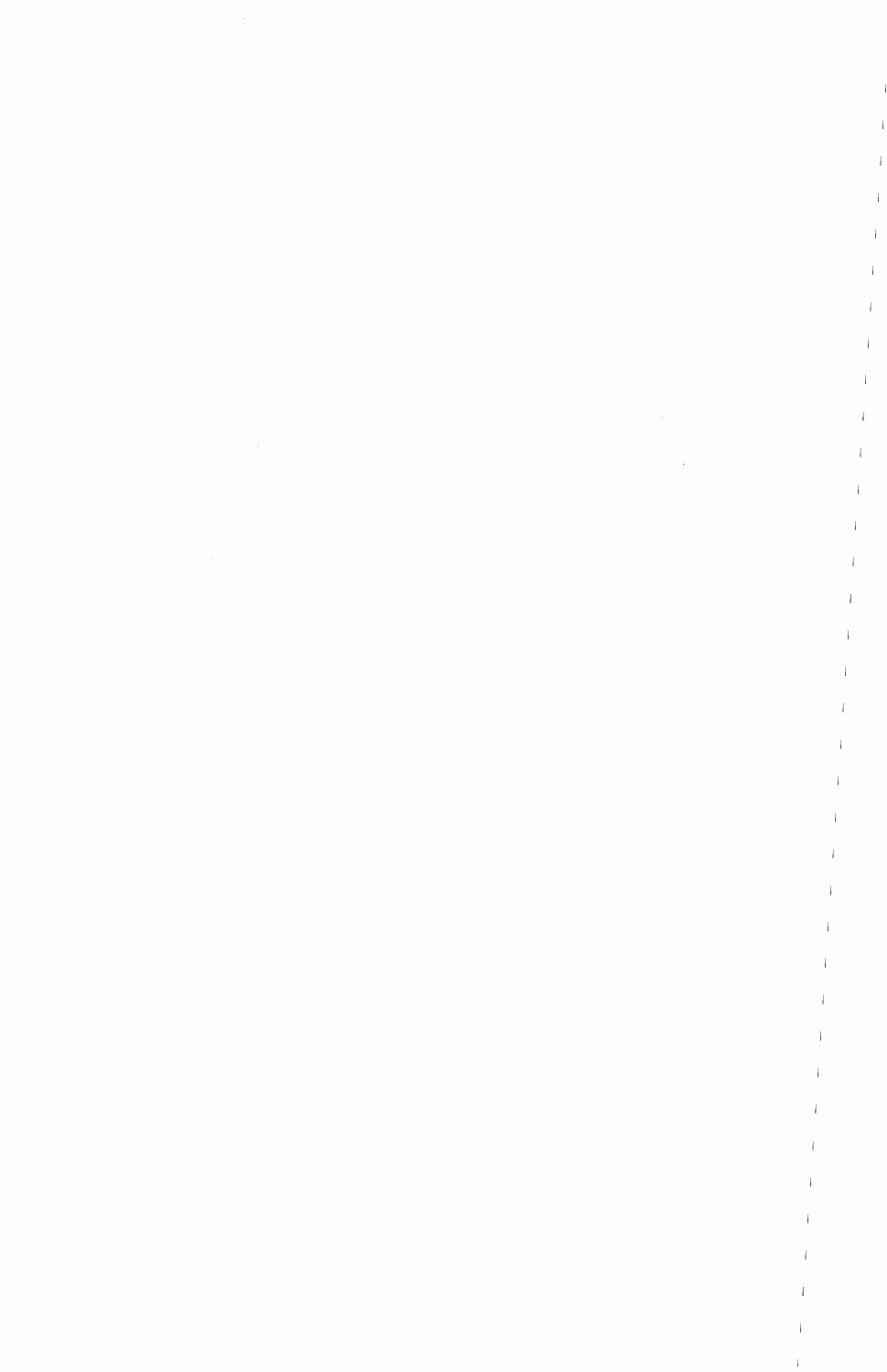$\label{eq:2.1} \begin{split} \mathcal{L}_{\text{max}}(\mathbf{r}) & = \frac{1}{2} \sum_{i=1}^{N} \mathcal{L}_{\text{max}}(\mathbf{r}) \mathcal{L}_{\text{max}}(\mathbf{r}) \\ & = \frac{1}{2} \sum_{i=1}^{N} \mathcal{L}_{\text{max}}(\mathbf{r}) \mathcal{L}_{\text{max}}(\mathbf{r}) \mathcal{L}_{\text{max}}(\mathbf{r}) \mathcal{L}_{\text{max}}(\mathbf{r}) \mathcal{L}_{\text{max}}(\mathbf{r}) \mathcal{L}_{\text{max}}(\mathbf{r}) \mathcal{L}_{\text{max}}(\mathbf$ 

 $\, \vert \,$ 

 $\|$ 

 $\|$ 

 $\mathbb{L}$ 

 $\mathbb{L}$ 

 $\mathbb{L}$ 

 $\|$ 

 $\overline{\phantom{a}}$ 

 $\vert$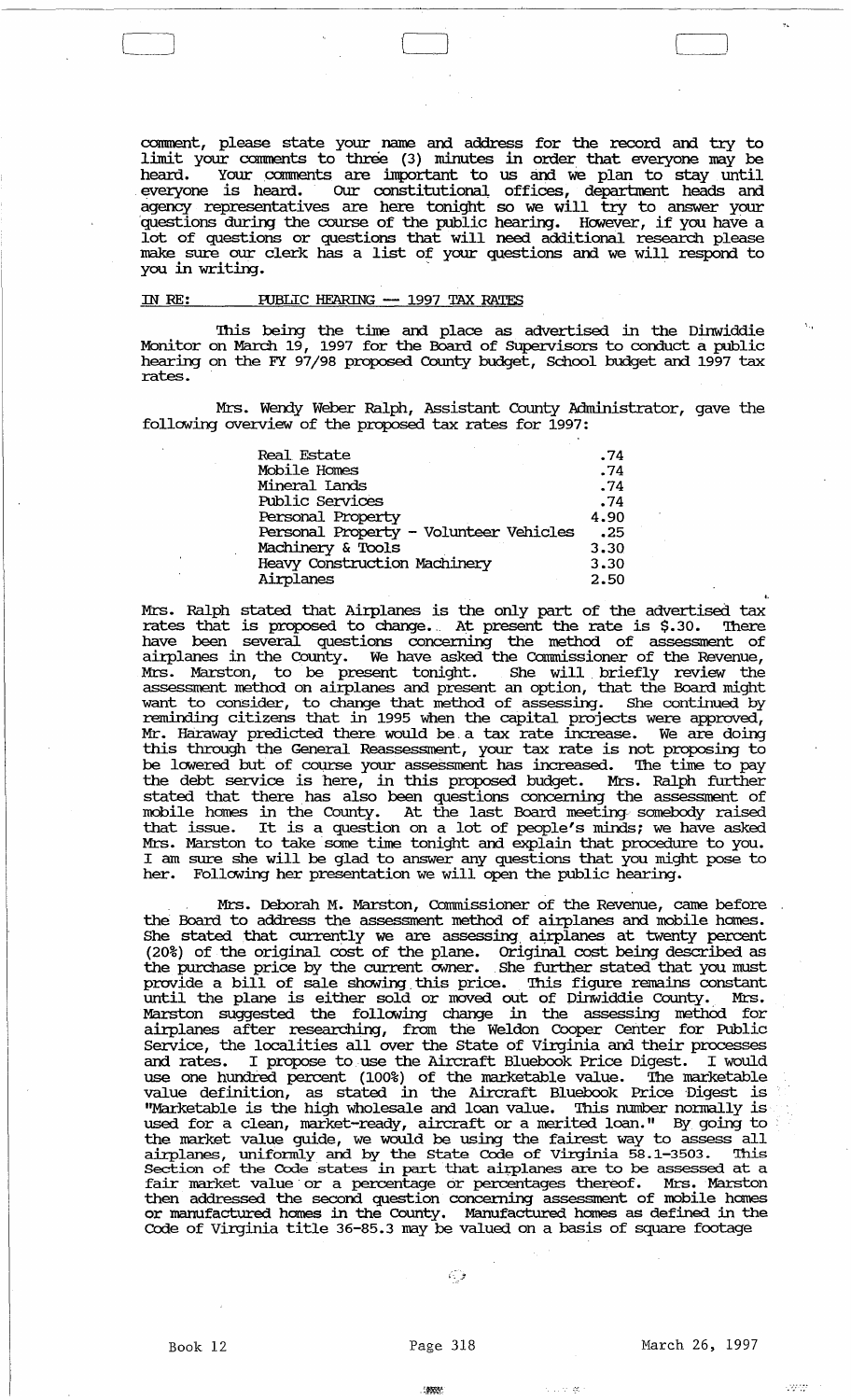comment, please state your name and address for the record and try to limit your comments to three (3) minutes in order that everyone may be Your comments are important to us and we plan to stay until everyone is heard. Our constitutional offices, department heads and agency representatives are here tonight so we will try to answer your 'questions during the course of the public hearing. However, if you have a lot of questions or questions that will need additional research please make sure our clerk has a list of your questions and we will respond to I do to f questions or questions that will need additional researches sure our clerk has a list of your questions and we will you in writing.

### IN RE: PUBLIC HEARING -- 1997 TAX RATES

This being the time and place as advertised in the Dinwiddie Monitor on March 19, 1997 for the Board of Supervisors to conduct a public hearing on the FY 97/98 proposed County budget, School budget and 1997 tax rates.

Mrs. Wendy Weber Ralph, Assistant County Administrator, gave the following overview of the proposed tax rates for 1997:

| <b>Real Estate</b>                     | .74  |
|----------------------------------------|------|
| Mobile Homes                           | .74  |
| Mineral Lands                          | .74  |
| Public Services                        | .74  |
| Personal Property                      | 4.90 |
| Personal Property - Volunteer Vehicles | .25  |
| Machinery & Tools                      | 3.30 |
| Heavy Construction Machinery           |      |
| Airplanes                              | 2.50 |
|                                        |      |

Mrs. Ralph stated that Airplanes is the only part of the advertised tax rates that is proposed to change. At present the rate is \$.30. There have been several questions concenring the method of assessment of airplanes in the County. We have asked the Commissioner of the Revenue, Mrs. Marston, to be present tonight. She will briefly review the assessment method on airplanes and present an option, that the Board might want to consider, to change that method of assessing. She continued by reminding citizens that :in 1995 when the capital projects were approved, Mr. Haraway predicted there would be, a tax rate increase. We are doing this through the General Reassessment, your tax rate is not proposing to be lowered but of course your assessment has increased. The time to pay the debt *service* is here, in this proposed budget. Mrs. Ralph further stated that there, has also been questions concenring the assessment of mobile homes :in the County. At the last Board meeting. somebody raised that issue. It is a question on a lot of people's minds; we have asked Mrs. Marston to take some time tonight and explain that procedure to you. I am sure she will be glad to answer any questions that you might pose to her. Following her presentation we will open the public hearing.

Mrs. Deborah M. Marston, Commissioner of the Revenue, came before the Board to address the assessment method of airplanes and mobile homes. She stated that currently we are assessing airplanes at twenty percent (20%) of the original cost of the plane. Original cost being described as the purchase price by the current owner. ,She further stated that you must provide a bill of sale showing this price. This figure remains constant until the plane is either sold or moved out of Dinwiddie County. Mrs. Marston suggested the following change in the assessing method for airplanes after researching, from the' Weldon Cooper Center for Public Service, the localities all over the state of Virginia and their processes and rates. I propose to use the Aircraft Bluebook Price Digest. I would use one hundred percent (100%) of the marketable value. The marketable value definition, as stated in the Aircraft Bluebook Price Digest is While definition, as succed in the inflerate brackon filed bigged is used for a clean, market-ready, aircraft or a merited loan." By going to the market value guide, we would be using the fairest way to assess all airplanes, uniformly and by the State Code of Virginia 58.1-3503. This airprais, uniformity and by the state code of virginia 50.1 5505. This fair market value or a percentage or percentages thereof. Mrs.' Marston then addressed the second question concerning assessment of mobile homes or manufactured homes in the County. Manufactured homes as defined in the Or mandractured homes in the county. Thankined homes as defined in a

3000

69

I"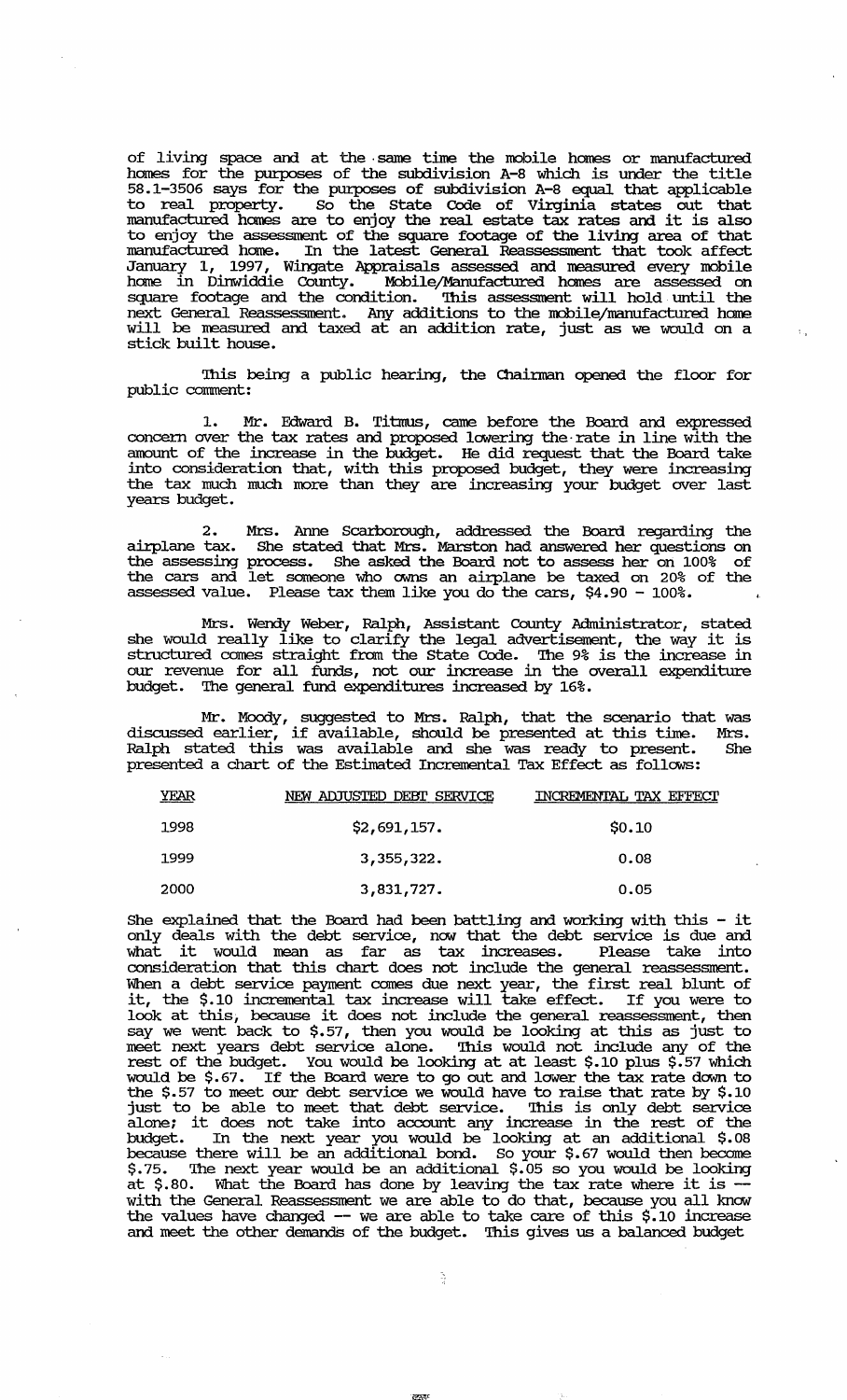of living space and at the same time the mobile homes or manufactured homes for the purposes of the subdivision A-8 which. is under the title 58.1-3506 says for the purposes of subdivision A-8 equal that applicable to real property. So the State Code of Virginia states out that manufactured homes are to enjoy the real estate tax rates and it is also to enjoy the assessment of the square footage of the living area of that manufactured horne. In the latest General Reassessment that took affect January 1, 1997, Wingate Appraisals assessed and maasured every mobile home in Dinwiddie County. Mobile/Manufactured homes are assessed on square footage and the condition. This assessment will hold until the next General Reassessment. Any additions to the mobile/manufactured home will be measured and taxed at an addition rate, just as we would on a stick built house.

This being a public hearing, the Chairman opened the floor for public comment:

1. Mr. Edward B. Titmus, came before the Board and expressed concern over the tax rates and proposed lowering the· rate in line with the amount of the increase in the budget. He did request that the Board take into consideration that, with this proposed budget, they were increasing the tax much. much. more than they are increasing your budget over last years budget.

2. Mrs. Anne Scarborough, addressed the Board regarding the airplane tax. She stated that Mrs. Marston had. answered her questions on the assessing process. She asked the Board not to assess her on 100% of the cars and let someone who owns an airplane be taxed on 20% of the assessed value. Please tax them like you do the cars,  $$4.90 - 100$ .

Mrs. Wendy Weber, Ralph, Assistant County Administrator, stated she would really like to clarify the legal advertisement, the way it is structured comes straight from the State Code. The 9% is the increase in our revenue for all funds, not our increase in the overall expenditure budget. '!he general fund expenditures increased by 16%.

Mr. Moody, suggested to Mrs. Ralph, that the scenario that was discussed earlier, if available, should be presented at this time. Mrs. Ralph stated this was available and she was ready to present. She presented a chart of the Estimated Incremental Tax Effect as follows:

| YEAR  | NEW ADJUSTED DEBT SERVICE | INCREMENTAL TAX EFFECT |
|-------|---------------------------|------------------------|
| 1998  | \$2,691,157.              | \$0.10                 |
| 1999  | 3,355,322.                | 0.08                   |
| -2000 | 3,831,727.                | 0.05                   |

She explained that the Board had been battling and working with this - it only deals with the debt service, now that the debt service is due and<br>what it would mean as far as tax increases. Please take into what it would mean as far as tax increases. consideration that this chart does not include the general reassessment. When a debt service payment comes due next year, the first real blunt of it, the \$.10 incremental tax increase will take effect. If you were to look at this, because it does not include the general reassessment, then say we went back to \$.57, then you would be looking at this as just to meet next years debt service alone. This would not include any of the rest of the budget. You would be looking at at least \$.10 plus \$.57 which. would be \$.67. If the Board were to go out and lower the tax rate down to the \$.57 to meet our debt service we would have to raise that rate by \$ .10 just to be able to meet that debt service. This is only debt service just to be able to meet that debt service. This is only debt service<br>alone; it does not take into account any increase in the rest of the budget. In the next year you would be looking at an additional \$.08 because there will be an additional bond. So your \$.67 would then become \$.75. The next year would be an additional \$.05 so you would be looking at \$.80. What the Board has done by leaving the tax rate where it is -with the General Reassessment we are able to do that, because you all know the values have changed  $-$  we are able to take care of this \$.10 increase and meet the other demands of the budget. This gives us a balanced budget

~.{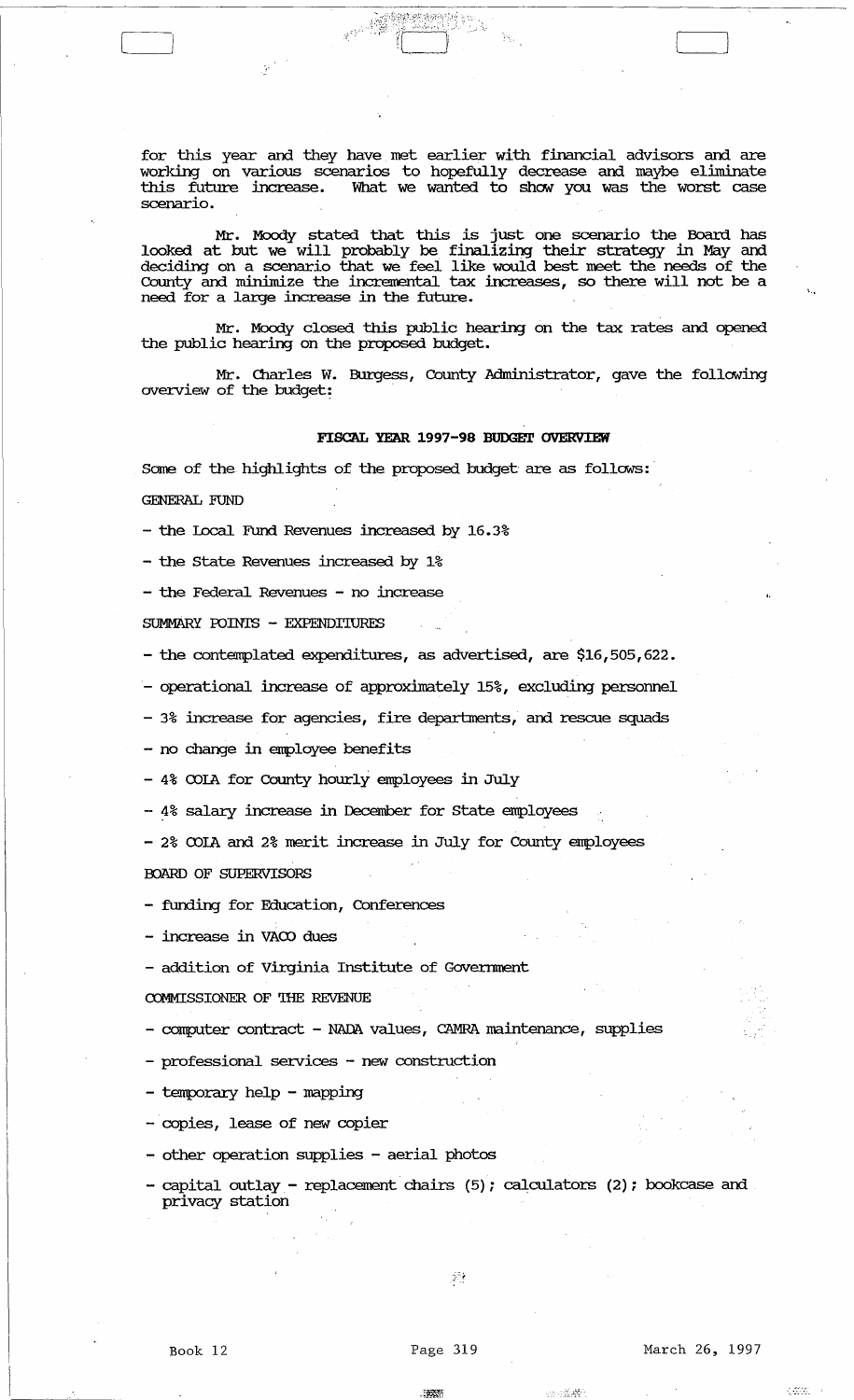for this year and they have met earlier with financial advisors and are working on various scenarios to hopefully decrease and maybe eliminate this future increase. What we wanted to show you was the worst case scenario.

 $\mathcal{M}^{\mathfrak{g}}$  is the  $\mathcal{N}$ 

Mr. Moody stated that this is just one scenario the Board has looked at but we will probably be finalizing their strategy in May and deciding on a scenario that we feel like wouid best meet the needs of the County and minimize the incremental tax increases, so there will not be a need for a large increase in the future.

Mr. Moody closed this public hearing on the tax rates and opened the public hearing on the proposed budget.

Mr. Charles w. Burgess, County Administrator, gave the following overview of the budget;

### **FISCAL YEAR 1997-98 BUDGET OVERVIEW**

Some of the highlights of the proposed budget are as follows:

GENERAL FUND

- the local Fund Revenues increased by 16.3%

- the State Revenues increased by 1%

- the Federal Revenues - no increase

 $SUMMARY$   $POMIS$  - EXPENDITURES

- the contemplated expenditures, as advertised, are \$16,505,622.

- operational increase of approximately 15%, excluding personnel

- 3% increase for agencies, fire departments, and rescue squads

- no change in employee benefits

- 4% COLA for County hourly employees in July

- 4% salary increase in December for State employees

- 2% COlA and 2% merit increase in July for County employees OOARD OF SUPERVISORS

- funding for Education, Conferences

- increase in VACO dues

- addition of Virginia Institute of Government

COMMISSIONER OF THE REVENUE

- computer contract - NADA values, CAMRA maintenance, supplies

- professional services - new construction

- temporary help - mapping

- copies, lease of new copier

- other operation supplies - aerial photos

- capital outlay - replacement chairs (5); calculators (2); bookcase and privacy station

\.,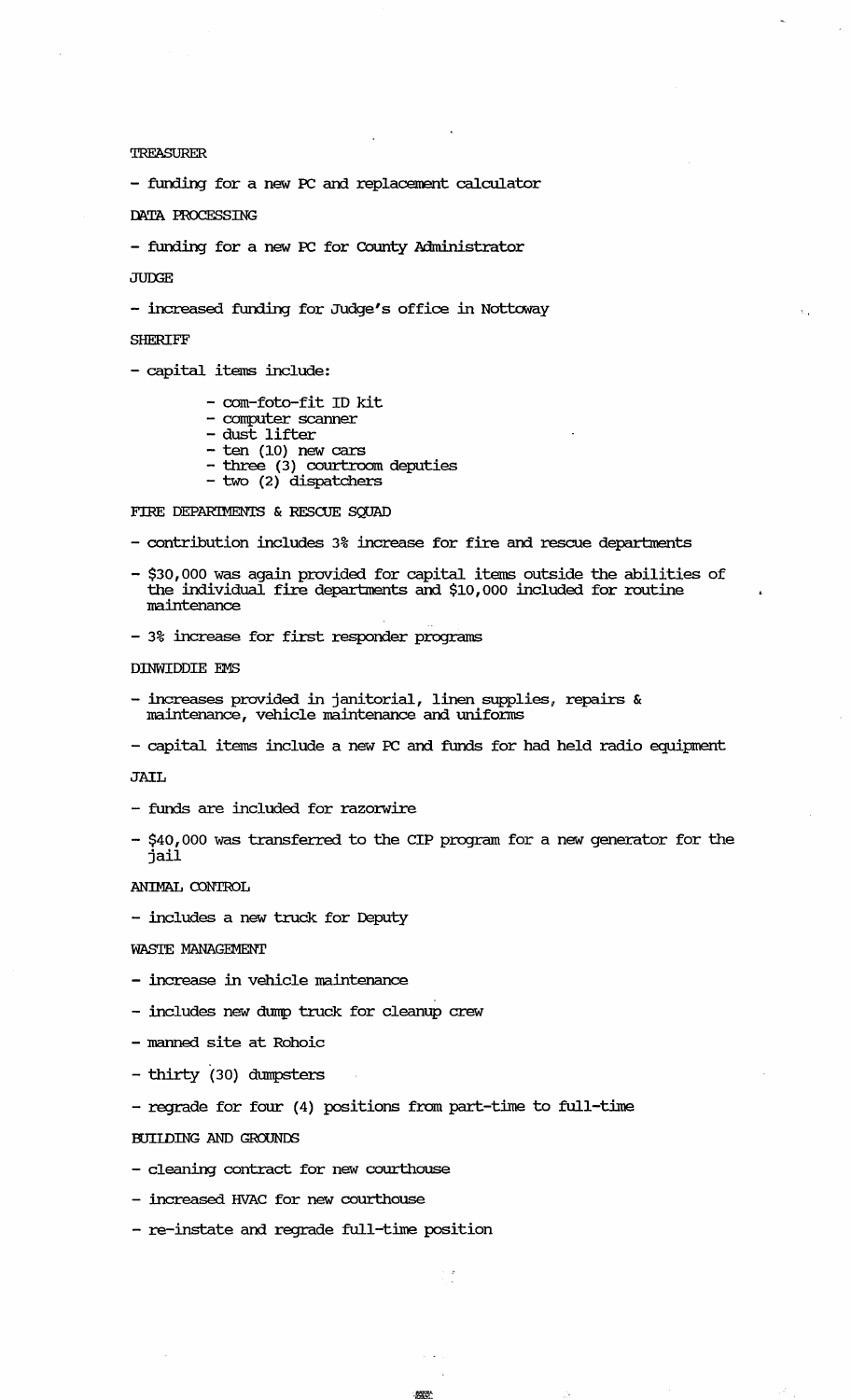#### TREASURER

- funding for a new PC and replacenent calculator

DATA PROCESSING

- funding for a new PC for County Administrator

## **JUDGE**

- increased funding for Judge's office in Nottoway

### SHERIFF

- capital items include:

- com-foto-fit ID kit
- corrputer scanner dust lifter
- 
- ten (10) new cars
- three (3) courtroom deputies two (2) dispatchers
- 

FIRE DEPARIMENTS & RESCUE SQUAD

- contribution includes 3% increase for fire and rescue departments
- \$30,000 was again provided for capital items outside the abilities of the individual fire departments and \$10,000 included for routine maintenance
- 3% increase for first responder programs

#### DINWIDDIE EMS

- increases provided in janitorial, linen supplies, repairs & maintenance, vehicle maintenance and uniforms
- capital items include a new PC and funds for had held radio equipment

JAIL

- funds are included for razorwire
- \$40,000 was transferred to the CIP program for a new generator for the jail

ANIMAL CONTROL

- includes a new truck for Deputy

WASTE MANAGEMENT

- increase in vehicle maintenance
- includes new dump truck for cleanup crew
- manned site at Rohoic
- thirty (30) dumpsters
- regrade for four (4) positions from part-time to full-time

.~

#### fUIIDING AND GROUNLS

- cleaning contract for new courthouse
- increased HVAC for new courthouse
- re-instate and regrade full-time position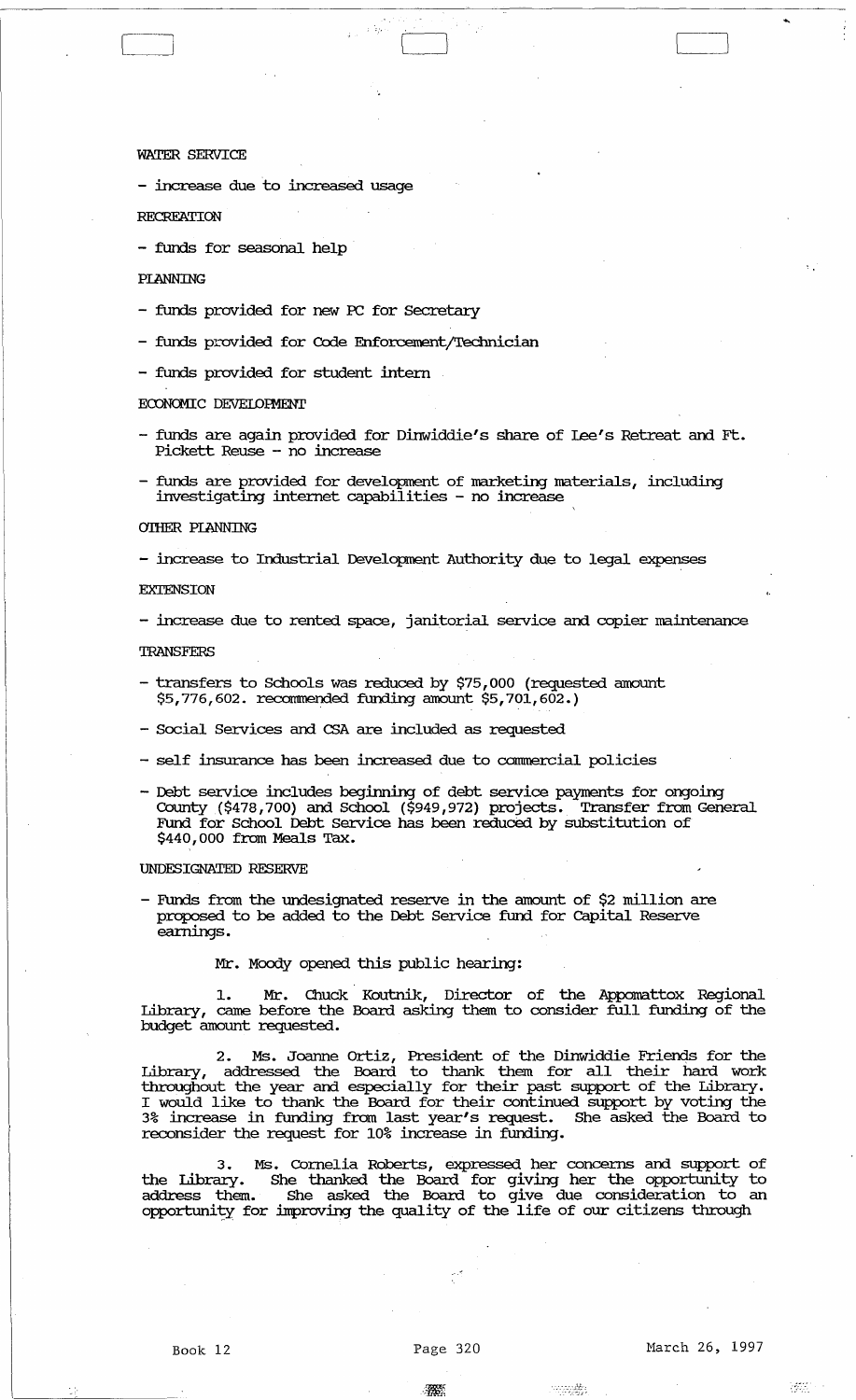### WATER SERVICE

- increase due to increased usage

#### **RECREATION**

- funds for seasonal help

#### PlANNING

- funds provided for new PC for secretary
- funds provided for Code Enforcement/Technician

- funds provided for student intern

#### ECONOMIC DEVELOPMENT

- funds are again provided for Dinwiddie's share of Lee's Retreat and Ft. Pickett Reuse - no increase
- funds are provided for development of narketing materials, including investigating internet capabilities - no increase

#### OIHER PIANNING

- increase to Industrial Development Authority due to legal expenses

#### **EXTENSION**

- increase due to rented space, janitorial service and copier maintenance

#### **TRANSFERS**

- transfers to Schools was reduced by \$75,000 (requested amount \$5,776,602. reoammended funding amount \$5,701,602.)
- Social Services and CSA are included as requested
- self insurance has been increased due to commercial policies
- Debt service includes beginning of debt service payments for ongoing County (\$478,700) and School (\$949,972) projects. Transfer from General Fund for School Debt Service has been reduced by substitution of \$440,000 from Meals Tax.

## UNDESIGNA'IED RESERVE

- Funds from the undesignated reserve in the amount of \$2 million are proposed to be added to the Debt Service fund for Capital Reserve earnings.

### Mr. Moody opened this public hearing:

1. Mr. Chuck Koutnik., Director of the Appomattox Regional Library, came before the Board asking them to consider full funding of the budget amount requested.

2. Ms. Joanne Ortiz, President of the Dinwiddie Friends for the Library, addressed the Board to thank them for all their hard work throughout the year and especially for their past support of the Library. I would like to thank the Board for their continued support by voting the 3% increase in funding from last year's request. She asked the Board to 3% increase in funding from last year's request. She asked the Board to reconsider the request for 10% increase in funding.

3. Ms. Cornelia Roberts, expressed her concerns and support of the Library. She thanked the Board for giving her the opportunity to the Library. She thanked the Board for giving her the opportunity to address them. She asked the Board to give due consideration to an opportunity for improving the quality of the life of our citizens through

-55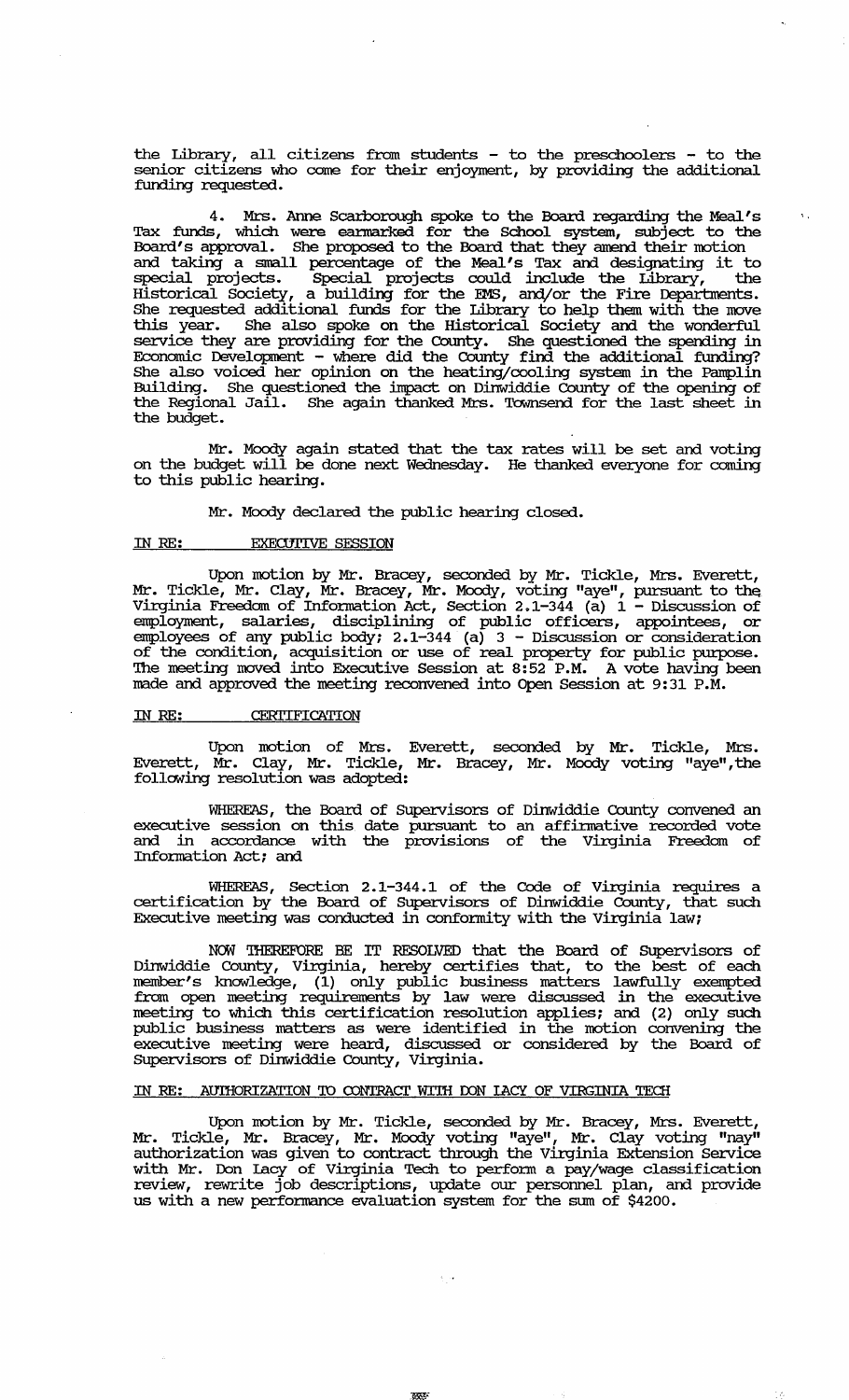the Library, all citizens from students - to the preschoolers - to the senior citizens who come for their enjoyment, by providing the additional funding requested.

4. Mrs. Anne Scarborough spoke to the Board regarding the Meal's ' . Tax funds, which were earmarked for the School system, subject to the Board's approval. She proposed to the Board that they amend their motion and taking a small percentage of the Meal's Tax and designating it to special projects. Special projects could include the Library, the Historical Society, a building for the EMS, and/or the Fire Deparbnents. She requested additional funds for the Library to help them with the move this year. She also spoke on the Historical Society and the wonderful service they are providing for the County. She questioned the spending in Economic Development - where did the County find the additional funding? She also voiced her opinion on the heating/cooling system in the Panplin Building. She questioned the impact on Dinwiddie County of the opening of the Regional Jail. She again thanked Mrs. Townsend for the last sheet in the budget.

Mr. Moody again stated that the tax rates will be set and voting on the budget will be done next Wednesday. He thanked everyone for coming to this public hearing.

### Mr. Moody declared the public hearing closed.

# IN RE: EXECUITVE SESSION

Upon motion by Mr. Bracey, seconded by Mr. Tickle, Mrs. Everett, Mr. Tickle, Mr. Clay, Mr. Bracey, Mr. Moody, voting "aye", pursuant to the Virginia Freedom of Information Act, Section 2.1-344 (a) 1 - Discussion of employment, salaries, disciplining of public officers, appointees, or employees of any public body; 2.1-344 (a) 3 - Discussion or consideration of the condition, acquisition or use of real property for public purpose. The meeting moved into Executive Session at 8:52 P.M. A vote having been made and approved the meeting reconvened into Open Session at 9:31 P.M.

## IN RE: CERrIFICATION

Upon motion of Mrs. Everett, seconded by Mr. Tickle, Mrs. Everett, Mr. Clay, Mr. Tickle, Mr. Bracey, Mr. Moody voting "aye", the following resolution was adopted:

WHEREAS, the Board of Supervisors of Dinwiddie County convened an executive session on this date pursuant to an affirmative recorded vote and in accordance with the provisions of the Virginia Freedom of Information Act; and

WHEREAS, Section 2.1-344.1 of the Code of Virginia requires a certification by the Board of SUpervisors of Dinwiddie County, that such Executive meeting was conducted in confonnity with the Virginia law;

NOW THEREFORE BE IT RESOLVED that the Board of Supervisors of Dinwiddie County, Virginia, hereby certifies that, to the best of each member's knowledge, (1) only public business matters lawfully exempted fram open meeting requirements by law were discussed in the executive meeting to which this certification resolution applies; and (2) only such public business matters as were identified in the motion convening the executive meeting were heard, discussed or considered by the Board of SUpervisors of Dinwiddie County, Virginia.

## IN RE: AUTHORIZATION TO CONTRACT WITH DON LACY OF VIRGINIA TECH

Upon motion by Mr. Tickle, seconded by Mr. Bracey, Mrs. Everett, Mr. Tickle, Mr. Bracey, Mr. Moody voting "aye", Mr. Clay voting "nay" authorization was given to contract through the Virginia Extension service with Mr. Don lacy of Virginia Tech to perform a pay/wage classification review, rewrite job descriptions, update our personnel plan, and provide us with a new performance evaluation system for the sum of \$4200.

10W